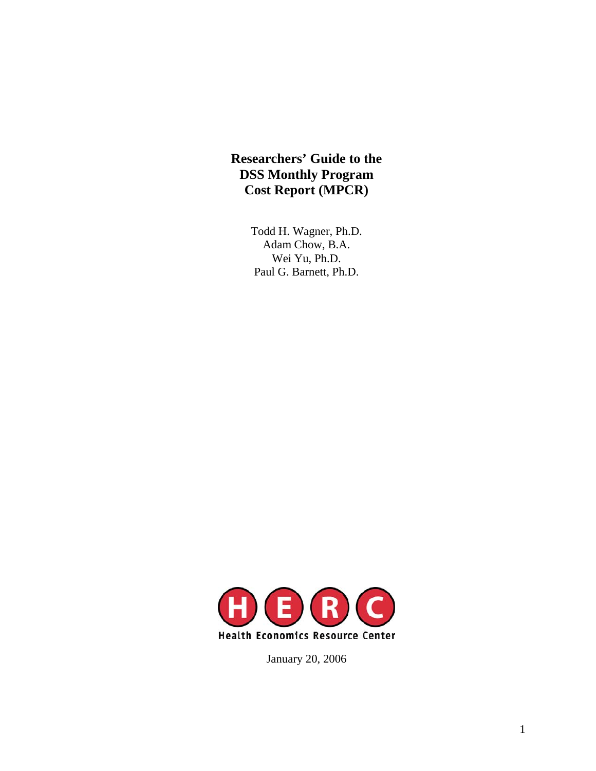# **Researchers' Guide to the DSS Monthly Program Cost Report (MPCR)**

Todd H. Wagner, Ph.D. Adam Chow, B.A. Wei Yu, Ph.D. Paul G. Barnett, Ph.D.



January 20, 2006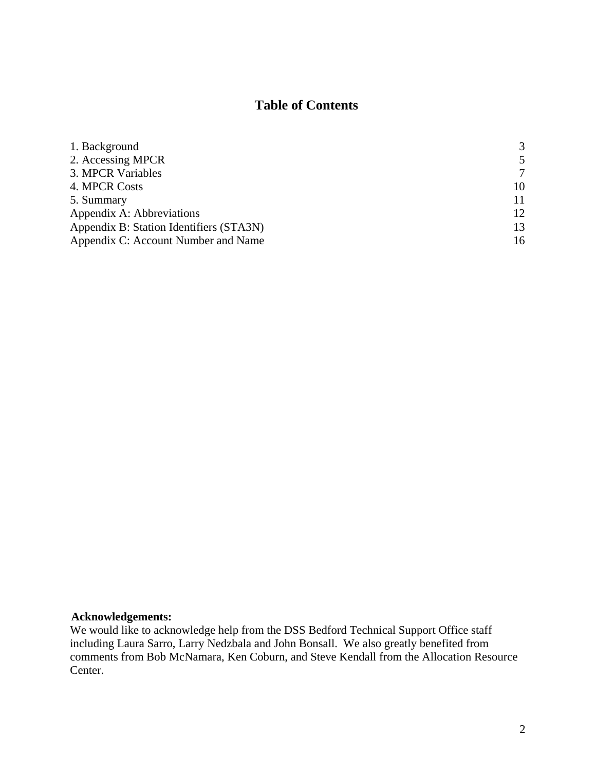# **Table of Contents**

| 1. Background                           | 3  |
|-----------------------------------------|----|
| 2. Accessing MPCR                       | 5  |
| 3. MPCR Variables                       | 7  |
| 4. MPCR Costs                           | 10 |
| 5. Summary                              | 11 |
| Appendix A: Abbreviations               | 12 |
| Appendix B: Station Identifiers (STA3N) | 13 |
| Appendix C: Account Number and Name     | 16 |

### **Acknowledgements:**

We would like to acknowledge help from the DSS Bedford Technical Support Office staff including Laura Sarro, Larry Nedzbala and John Bonsall. We also greatly benefited from comments from Bob McNamara, Ken Coburn, and Steve Kendall from the Allocation Resource Center.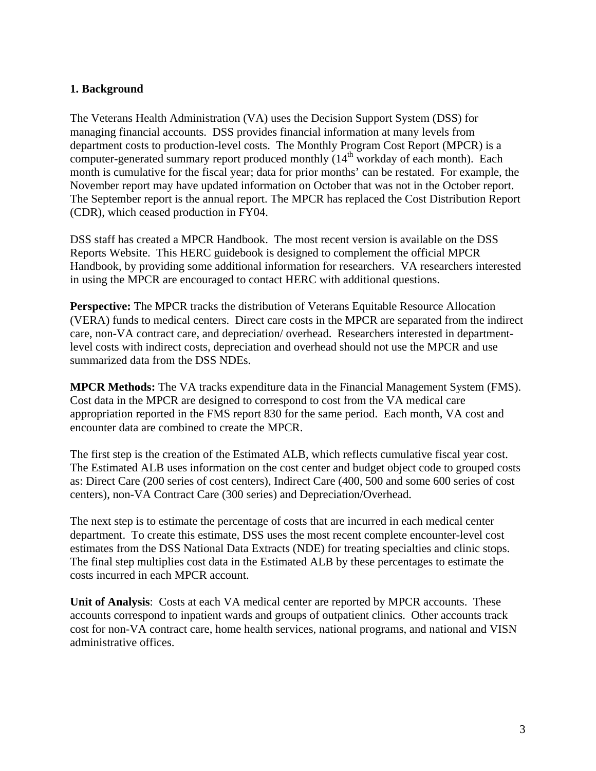#### <span id="page-2-0"></span>**1. Background**

The Veterans Health Administration (VA) uses the Decision Support System (DSS) for managing financial accounts. DSS provides financial information at many levels from department costs to production-level costs. The Monthly Program Cost Report (MPCR) is a computer-generated summary report produced monthly (14<sup>th</sup> workday of each month). Each month is cumulative for the fiscal year; data for prior months' can be restated. For example, the November report may have updated information on October that was not in the October report. The September report is the annual report. The MPCR has replaced the Cost Distribution Report (CDR), which ceased production in FY04.

DSS staff has created a MPCR Handbook. The most recent version is available on the DSS Reports Website. This HERC guidebook is designed to complement the official MPCR Handbook, by providing some additional information for researchers. VA researchers interested in using the MPCR are encouraged to contact HERC with additional questions.

**Perspective:** The MPCR tracks the distribution of Veterans Equitable Resource Allocation (VERA) funds to medical centers. Direct care costs in the MPCR are separated from the indirect care, non-VA contract care, and depreciation/ overhead. Researchers interested in departmentlevel costs with indirect costs, depreciation and overhead should not use the MPCR and use summarized data from the DSS NDEs.

**MPCR Methods:** The VA tracks expenditure data in the Financial Management System (FMS). Cost data in the MPCR are designed to correspond to cost from the VA medical care appropriation reported in the FMS report 830 for the same period. Each month, VA cost and encounter data are combined to create the MPCR.

The first step is the creation of the Estimated ALB, which reflects cumulative fiscal year cost. The Estimated ALB uses information on the cost center and budget object code to grouped costs as: Direct Care (200 series of cost centers), Indirect Care (400, 500 and some 600 series of cost centers), non-VA Contract Care (300 series) and Depreciation/Overhead.

The next step is to estimate the percentage of costs that are incurred in each medical center department. To create this estimate, DSS uses the most recent complete encounter-level cost estimates from the DSS National Data Extracts (NDE) for treating specialties and clinic stops. The final step multiplies cost data in the Estimated ALB by these percentages to estimate the costs incurred in each MPCR account.

**Unit of Analysis**: Costs at each VA medical center are reported by MPCR accounts. These accounts correspond to inpatient wards and groups of outpatient clinics. Other accounts track cost for non-VA contract care, home health services, national programs, and national and VISN administrative offices.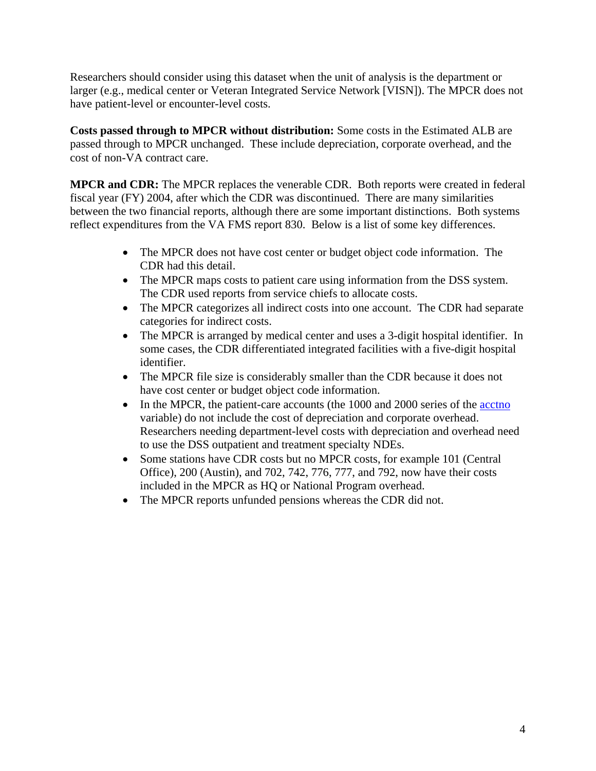Researchers should consider using this dataset when the unit of analysis is the department or larger (e.g., medical center or Veteran Integrated Service Network [VISN]). The MPCR does not have patient-level or encounter-level costs.

**Costs passed through to MPCR without distribution:** Some costs in the Estimated ALB are passed through to MPCR unchanged. These include depreciation, corporate overhead, and the cost of non-VA contract care.

**MPCR and CDR:** The MPCR replaces the venerable CDR. Both reports were created in federal fiscal year (FY) 2004, after which the CDR was discontinued. There are many similarities between the two financial reports, although there are some important distinctions. Both systems reflect expenditures from the VA FMS report 830. Below is a list of some key differences.

- The MPCR does not have cost center or budget object code information. The CDR had this detail.
- The MPCR maps costs to patient care using information from the DSS system. The CDR used reports from service chiefs to allocate costs.
- The MPCR categorizes all indirect costs into one account. The CDR had separate categories for indirect costs.
- The MPCR is arranged by medical center and uses a 3-digit hospital identifier. In some cases, the CDR differentiated integrated facilities with a five-digit hospital identifier.
- The MPCR file size is considerably smaller than the CDR because it does not have cost center or budget object code information.
- In the MPCR, the patient-care accounts (the 1000 and 2000 series of the acctno variable) do not include the cost of depreciation and corporate overhead. Researchers needing department-level costs with depreciation and overhead need to use the DSS outpatient and treatment specialty NDEs.
- Some stations have CDR costs but no MPCR costs, for example 101 (Central Office), 200 (Austin), and 702, 742, 776, 777, and 792, now have their costs included in the MPCR as HQ or National Program overhead.
- The MPCR reports unfunded pensions whereas the CDR did not.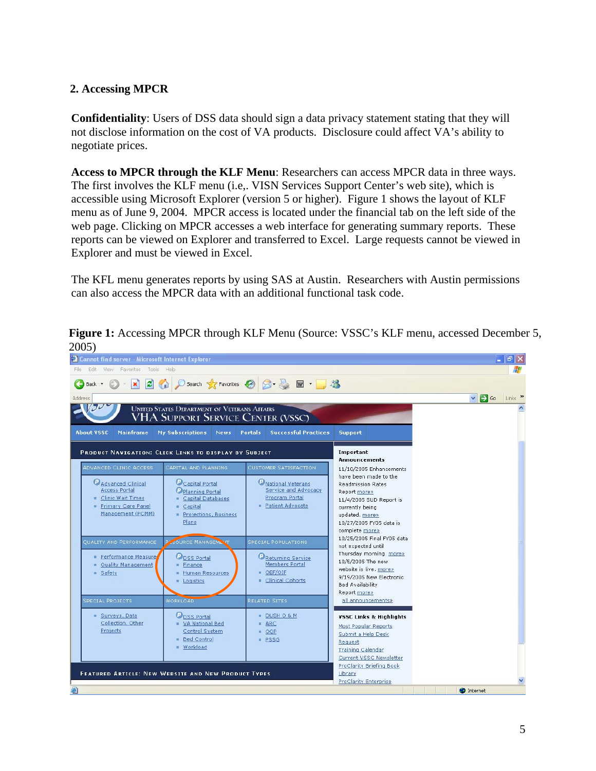### <span id="page-4-0"></span>**2. Accessing MPCR**

**Confidentiality**: Users of DSS data should sign a data privacy statement stating that they will not disclose information on the cost of VA products. Disclosure could affect VA's ability to negotiate prices.

**Access to MPCR through the KLF Menu**: Researchers can access MPCR data in three ways. The first involves the KLF menu (i.e,. VISN Services Support Center's web site), which is accessible using Microsoft Explorer (version 5 or higher). Figure 1 shows the layout of KLF menu as of June 9, 2004. MPCR access is located under the financial tab on the left side of the web page. Clicking on MPCR accesses a web interface for generating summary reports. These reports can be viewed on Explorer and transferred to Excel. Large requests cannot be viewed in Explorer and must be viewed in Excel.

The KFL menu generates reports by using SAS at Austin. Researchers with Austin permissions can also access the MPCR data with an additional functional task code.

| Cannot find server - Microsoft Internet Explorer                                                                                                                                                                                                                                                                                                                                                                                                    |                                                                                                                                                                                                                       |                                                                                                                                                                                                                                                                                                                                                                                                               | $\  \cdot \ $ a $\  \times$                  |
|-----------------------------------------------------------------------------------------------------------------------------------------------------------------------------------------------------------------------------------------------------------------------------------------------------------------------------------------------------------------------------------------------------------------------------------------------------|-----------------------------------------------------------------------------------------------------------------------------------------------------------------------------------------------------------------------|---------------------------------------------------------------------------------------------------------------------------------------------------------------------------------------------------------------------------------------------------------------------------------------------------------------------------------------------------------------------------------------------------------------|----------------------------------------------|
| Edit: View Favorites Tools Help<br>File                                                                                                                                                                                                                                                                                                                                                                                                             |                                                                                                                                                                                                                       |                                                                                                                                                                                                                                                                                                                                                                                                               |                                              |
| $\bigcirc$ $\bullet$ $\blacksquare$ $\bigcirc$ $\bigcirc$ $\bigcirc$ $\bigcirc$ Search $\bigcirc$ Favorites $\bigcirc$ $\bigcirc$ $\bigcirc$ $\bigcirc$ $\bigcirc$ $\blacksquare$ $\blacksquare$ $\blacksquare$<br>Back +                                                                                                                                                                                                                           |                                                                                                                                                                                                                       |                                                                                                                                                                                                                                                                                                                                                                                                               |                                              |
| Address                                                                                                                                                                                                                                                                                                                                                                                                                                             |                                                                                                                                                                                                                       |                                                                                                                                                                                                                                                                                                                                                                                                               | $\Rightarrow$ Go<br>Links >><br>$\checkmark$ |
| $J\nu$<br><b>UNITED STATES DEPARTMENT OF VETERANS AFFAIRS</b><br>VHA SUPPORT SERVICE CENTER (VSSC)<br><b>About VSSC</b><br><b>Mainframe</b><br><b>My Subscriptions</b><br><b>News</b>                                                                                                                                                                                                                                                               | <b>Successful Practices</b><br>Portals                                                                                                                                                                                | <b>Support</b>                                                                                                                                                                                                                                                                                                                                                                                                |                                              |
|                                                                                                                                                                                                                                                                                                                                                                                                                                                     |                                                                                                                                                                                                                       |                                                                                                                                                                                                                                                                                                                                                                                                               |                                              |
| PRODUCT NAVIGATION: CLICK LINKS TO DISPLAY BY SUBJECT                                                                                                                                                                                                                                                                                                                                                                                               |                                                                                                                                                                                                                       | Important<br><b>Announcements</b>                                                                                                                                                                                                                                                                                                                                                                             |                                              |
| ADVANCED CLINIC ACCESS<br>CAPITAL AND PLANNING<br>Capital Portal<br>Advanced Clinical<br><b>Access Portal</b><br>Planning Portal<br>Clinic Wait Times<br>Capital Databases<br>Primary Care Panel<br>Capital<br>Management (PCMM)<br>Projections, Business<br>Plans<br><b>PASOURCE MANAGEMENT</b><br>QUALITY AND PERFORMANCE<br>Performance Measure<br><b>ODSS Portal</b><br>Quality Management<br>Finance<br>Safety<br>Human Resources<br>Logistics | <b>CUSTOMER SATISFACTION</b><br>National Veterans<br>Service and Advocacy<br>Program Portal<br>Patient Advocate<br><b>SPECIAL POPULATIONS</b><br>Returning Service<br>Members Portal<br>■ OEF/OIF<br>Clinical Cohorts | 11/10/2005 Enhancements<br>have been made to the<br><b>Readmission Rates</b><br>Report more»<br>11/4/2005 SUD Report is<br>currently being<br>updated. more»<br>10/27/2005 FY05 data is<br>complete more»<br>10/25/2005 Final FY05 data<br>not expected until<br>Thursday morning more»<br>10/5/2005 The new<br>website is live, more»<br>9/19/2005 New Electronic<br><b>Bed Availability</b><br>Report more» |                                              |
| <b>WORKLOAD</b><br><b>SPECIAL PROJECTS</b>                                                                                                                                                                                                                                                                                                                                                                                                          | RELATED SITES                                                                                                                                                                                                         | all announcements»                                                                                                                                                                                                                                                                                                                                                                                            |                                              |
| <b>ODSS Portal</b><br>Surveys, Data<br>Collection, Other<br>VA National Bed<br>Projects<br>Control System<br>Bed Control<br>Workload                                                                                                                                                                                                                                                                                                                | DUSH 0 & M<br><b>ARC</b><br>u.<br>OOP<br>m.<br>PSSG<br>m.                                                                                                                                                             | <b>VSSC Links &amp; Highlights</b><br>Most Popular Reports<br>Submit a Help Desk<br>Request<br><b>Training Calendar</b><br>Current VSSC Newsletter                                                                                                                                                                                                                                                            |                                              |
|                                                                                                                                                                                                                                                                                                                                                                                                                                                     |                                                                                                                                                                                                                       | ProClarity Briefing Book<br>Library                                                                                                                                                                                                                                                                                                                                                                           |                                              |
| FEATURED ARTICLE: NEW WEBSITE AND NEW PRODUCT TYPES                                                                                                                                                                                                                                                                                                                                                                                                 |                                                                                                                                                                                                                       | ProClarity Enterprise                                                                                                                                                                                                                                                                                                                                                                                         |                                              |
| 画                                                                                                                                                                                                                                                                                                                                                                                                                                                   |                                                                                                                                                                                                                       |                                                                                                                                                                                                                                                                                                                                                                                                               | <b>D</b> Internet                            |

**Figure 1:** Accessing MPCR through KLF Menu (Source: VSSC's KLF menu, accessed December 5, 2005)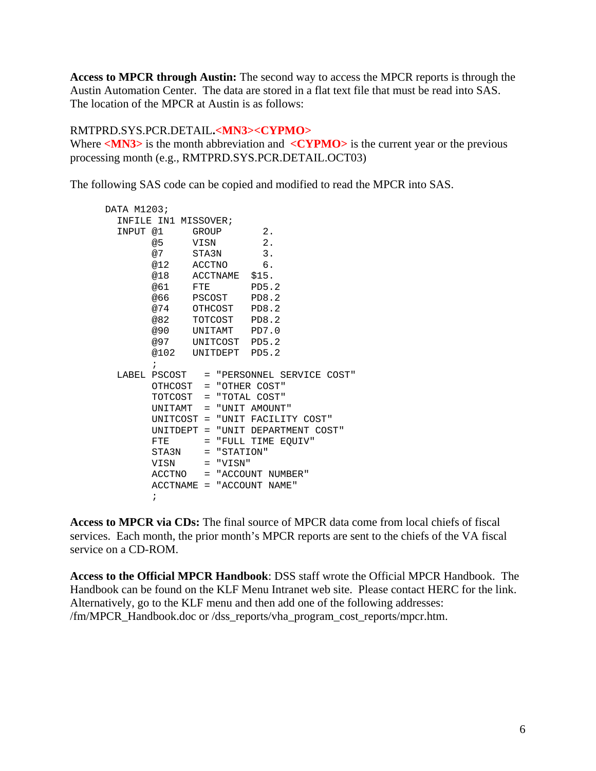<span id="page-5-0"></span>**Access to MPCR through Austin:** The second way to access the MPCR reports is through the Austin Automation Center. The data are stored in a flat text file that must be read into SAS. The location of the MPCR at Austin is as follows:

#### RMTPRD.SYS.PCR.DETAIL**.<MN3><CYPMO>**

Where <**MN3**> is the month abbreviation and <**CYPMO**> is the current year or the previous processing month (e.g., RMTPRD.SYS.PCR.DETAIL.OCT03)

The following SAS code can be copied and modified to read the MPCR into SAS.

```
DATA M1203; 
   INFILE IN1 MISSOVER; 
  INPUT @1 GROUP 2.
        @5 VISN 2. 
        @7 STA3N 3. 
        @12 ACCTNO 6. 
        @18 ACCTNAME $15. 
        @61 FTE PD5.2 
        @66 PSCOST PD8.2 
        @74 OTHCOST PD8.2 
             TOTCOST PD8.2
        @90 UNITAMT PD7.0 
        @97 UNITCOST PD5.2 
        @102 UNITDEPT PD5.2 
        ; 
  LABEL PSCOST = "PERSONNEL SERVICE COST" 
        OTHCOST = "OTHER COST" 
        TOTCOST = "TOTAL COST" 
        UNITAMT = "UNIT AMOUNT" 
        UNITCOST = "UNIT FACILITY COST" 
        UNITDEPT = "UNIT DEPARTMENT COST" 
       FTE = "FULL TIME EOUIV"
        STA3N = "STATION" 
        VISN = "VISN" 
        ACCTNO = "ACCOUNT NUMBER" 
        ACCTNAME = "ACCOUNT NAME" 
\mathcal{L}^{\text{max}}_{\text{max}}
```
**Access to MPCR via CDs:** The final source of MPCR data come from local chiefs of fiscal services. Each month, the prior month's MPCR reports are sent to the chiefs of the VA fiscal service on a CD-ROM.

**Access to the Official MPCR Handbook**: DSS staff wrote the Official MPCR Handbook. The Handbook can be found on the KLF Menu Intranet web site. Please contact HERC for the link. Alternatively, go to the KLF menu and then add one of the following addresses: /fm/MPCR\_Handbook.doc or /dss\_reports/vha\_program\_cost\_reports/mpcr.htm.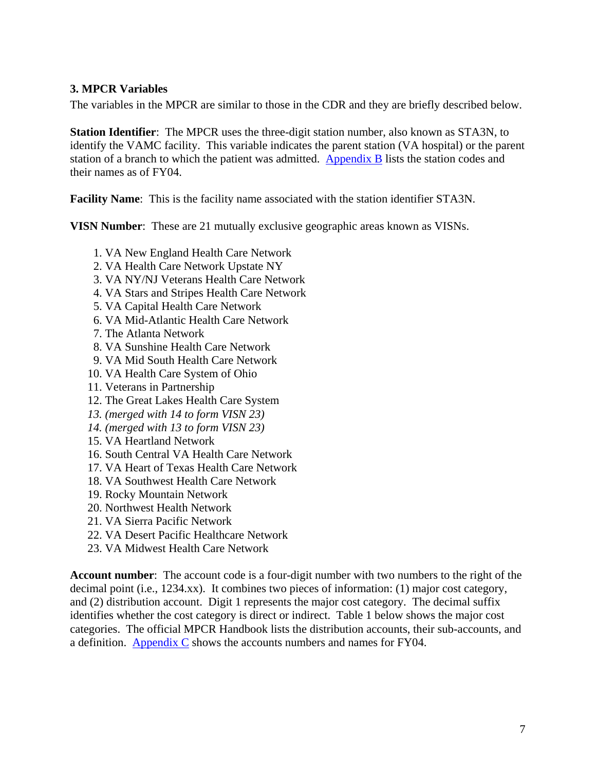### <span id="page-6-0"></span>**3. MPCR Variables**

The variables in the MPCR are similar to those in the CDR and they are briefly described below.

**Station Identifier**: The MPCR uses the three-digit station number, also known as STA3N, to identify the VAMC facility. This variable indicates the parent station (VA hospital) or the parent station of a branch to which the patient was admitted. [Appendix B](#page-12-0) lists the station codes and their names as of FY04.

**Facility Name**: This is the facility name associated with the station identifier STA3N.

**VISN Number**: These are 21 mutually exclusive geographic areas known as VISNs.

- 1. VA New England Health Care Network
- 2. VA Health Care Network Upstate NY
- 3. VA NY/NJ Veterans Health Care Network
- 4. VA Stars and Stripes Health Care Network
- 5. VA Capital Health Care Network
- 6. VA Mid-Atlantic Health Care Network
- 7. The Atlanta Network
- 8. VA Sunshine Health Care Network
- 9. VA Mid South Health Care Network
- 10. VA Health Care System of Ohio
- 11. Veterans in Partnership
- 12. The Great Lakes Health Care System
- *13. (merged with 14 to form VISN 23)*
- *14. (merged with 13 to form VISN 23)*
- 15. VA Heartland Network
- 16. South Central VA Health Care Network
- 17. VA Heart of Texas Health Care Network
- 18. VA Southwest Health Care Network
- 19. Rocky Mountain Network
- 20. Northwest Health Network
- 21. VA Sierra Pacific Network
- 22. VA Desert Pacific Healthcare Network
- 23. VA Midwest Health Care Network

**Account number**:The account code is a four-digit number with two numbers to the right of the decimal point (i.e., 1234.xx). It combines two pieces of information: (1) major cost category, and (2) distribution account. Digit 1 represents the major cost category. The decimal suffix identifies whether the cost category is direct or indirect. Table 1 below shows the major cost categories. The official MPCR Handbook lists the distribution accounts, their sub-accounts, and a definition. [Appendix C](#page-15-0) shows the accounts numbers and names for FY04.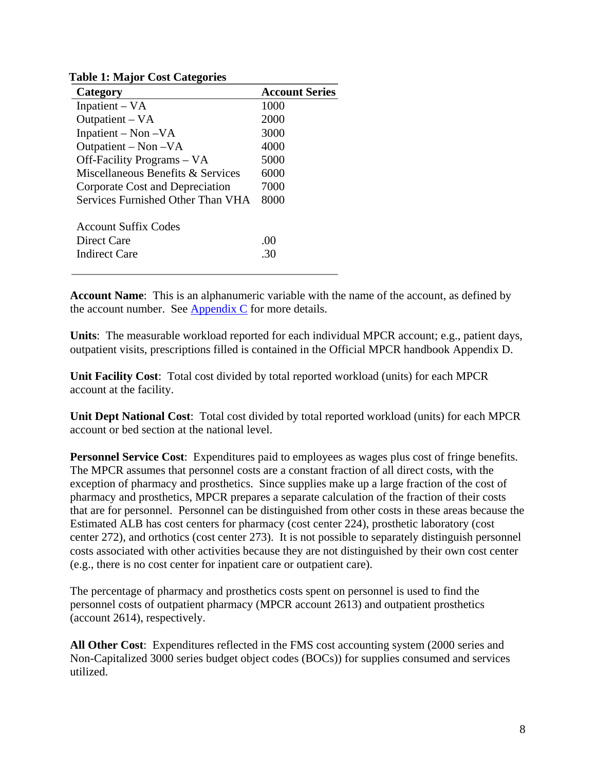| Tuble 1. Maijor Cobe Categories   |                       |
|-----------------------------------|-----------------------|
| Category                          | <b>Account Series</b> |
| Inpatient $- VA$                  | 1000                  |
| Outpatient – VA                   | 2000                  |
| Inpatient – Non – $VA$            | 3000                  |
| Outpatient – Non – VA             | 4000                  |
| Off-Facility Programs – VA        | 5000                  |
| Miscellaneous Benefits & Services | 6000                  |
| Corporate Cost and Depreciation   | 7000                  |
| Services Furnished Other Than VHA | 8000                  |
| <b>Account Suffix Codes</b>       |                       |
| Direct Care                       | .00                   |
| <b>Indirect Care</b>              | 30                    |
|                                   |                       |

**Table 1: Major Cost Categories** 

**Account Name**: This is an alphanumeric variable with the name of the account, as defined by the account number. See [Appendix C](#page-15-0) for more details.

**Units**:The measurable workload reported for each individual MPCR account; e.g., patient days, outpatient visits, prescriptions filled is contained in the Official MPCR handbook Appendix D.

**Unit Facility Cost**:Total cost divided by total reported workload (units) for each MPCR account at the facility.

**Unit Dept National Cost**:Total cost divided by total reported workload (units) for each MPCR account or bed section at the national level.

**Personnel Service Cost**: Expenditures paid to employees as wages plus cost of fringe benefits. The MPCR assumes that personnel costs are a constant fraction of all direct costs, with the exception of pharmacy and prosthetics. Since supplies make up a large fraction of the cost of pharmacy and prosthetics, MPCR prepares a separate calculation of the fraction of their costs that are for personnel. Personnel can be distinguished from other costs in these areas because the Estimated ALB has cost centers for pharmacy (cost center 224), prosthetic laboratory (cost center 272), and orthotics (cost center 273). It is not possible to separately distinguish personnel costs associated with other activities because they are not distinguished by their own cost center (e.g., there is no cost center for inpatient care or outpatient care).

The percentage of pharmacy and prosthetics costs spent on personnel is used to find the personnel costs of outpatient pharmacy (MPCR account 2613) and outpatient prosthetics (account 2614), respectively.

**All Other Cost**: Expenditures reflected in the FMS cost accounting system (2000 series and Non-Capitalized 3000 series budget object codes (BOCs)) for supplies consumed and services utilized.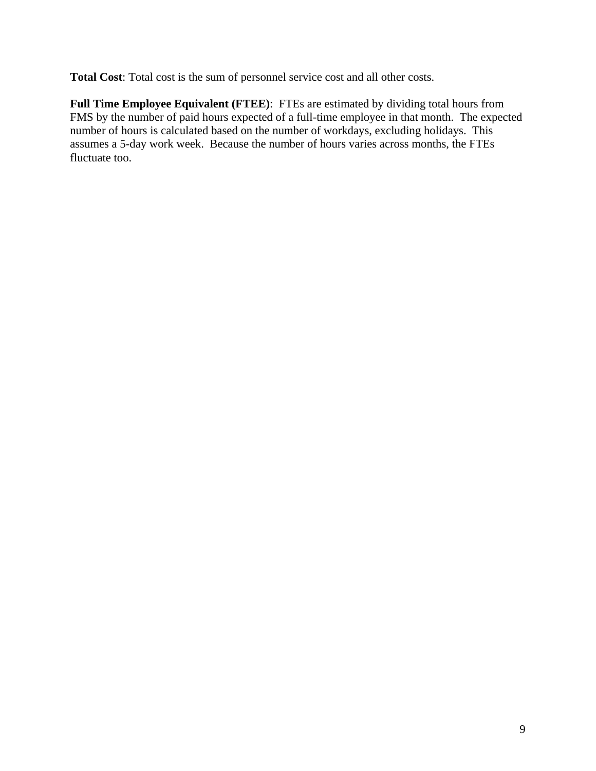**Total Cost**: Total cost is the sum of personnel service cost and all other costs.

**Full Time Employee Equivalent (FTEE)**: FTEs are estimated by dividing total hours from FMS by the number of paid hours expected of a full-time employee in that month. The expected number of hours is calculated based on the number of workdays, excluding holidays. This assumes a 5-day work week. Because the number of hours varies across months, the FTEs fluctuate too.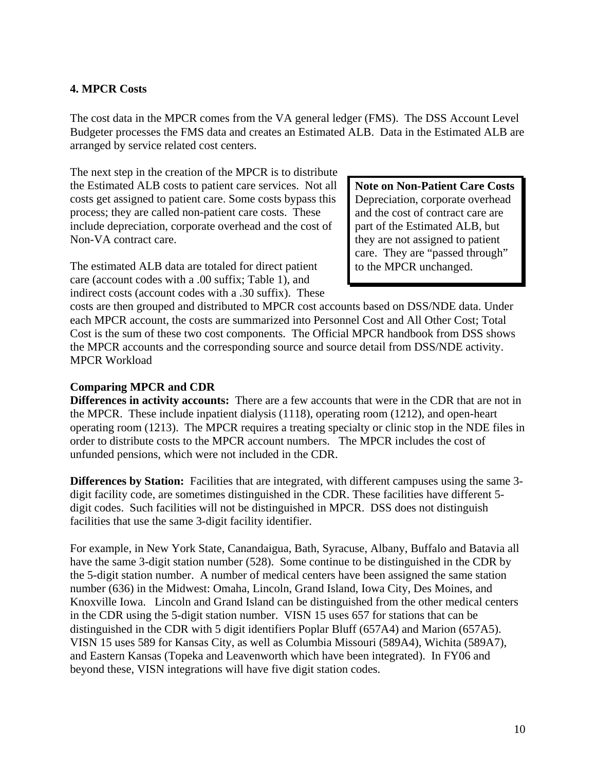### <span id="page-9-0"></span>**4. MPCR Costs**

The cost data in the MPCR comes from the VA general ledger (FMS). The DSS Account Level Budgeter processes the FMS data and creates an Estimated ALB. Data in the Estimated ALB are arranged by service related cost centers.

The next step in the creation of the MPCR is to distribute the Estimated ALB costs to patient care services. Not all costs get assigned to patient care. Some costs bypass this process; they are called non-patient care costs. These include depreciation, corporate overhead and the cost of Non-VA contract care.

**Note on Non-Patient Care Costs**  Depreciation, corporate overhead and the cost of contract care are part of the Estimated ALB, but they are not assigned to patient care. They are "passed through" to the MPCR unchanged.

The estimated ALB data are totaled for direct patient care (account codes with a .00 suffix; Table 1), and indirect costs (account codes with a .30 suffix). These

costs are then grouped and distributed to MPCR cost accounts based on DSS/NDE data. Under each MPCR account, the costs are summarized into Personnel Cost and All Other Cost; Total Cost is the sum of these two cost components. The Official MPCR handbook from DSS shows the MPCR accounts and the corresponding source and source detail from DSS/NDE activity. MPCR Workload

#### **Comparing MPCR and CDR**

**Differences in activity accounts:** There are a few accounts that were in the CDR that are not in the MPCR. These include inpatient dialysis (1118), operating room (1212), and open-heart operating room (1213). The MPCR requires a treating specialty or clinic stop in the NDE files in order to distribute costs to the MPCR account numbers. The MPCR includes the cost of unfunded pensions, which were not included in the CDR.

**Differences by Station:** Facilities that are integrated, with different campuses using the same 3digit facility code, are sometimes distinguished in the CDR. These facilities have different 5 digit codes. Such facilities will not be distinguished in MPCR. DSS does not distinguish facilities that use the same 3-digit facility identifier.

For example, in New York State, Canandaigua, Bath, Syracuse, Albany, Buffalo and Batavia all have the same 3-digit station number (528). Some continue to be distinguished in the CDR by the 5-digit station number. A number of medical centers have been assigned the same station number (636) in the Midwest: Omaha, Lincoln, Grand Island, Iowa City, Des Moines, and Knoxville Iowa. Lincoln and Grand Island can be distinguished from the other medical centers in the CDR using the 5-digit station number. VISN 15 uses 657 for stations that can be distinguished in the CDR with 5 digit identifiers Poplar Bluff (657A4) and Marion (657A5). VISN 15 uses 589 for Kansas City, as well as Columbia Missouri (589A4), Wichita (589A7), and Eastern Kansas (Topeka and Leavenworth which have been integrated). In FY06 and beyond these, VISN integrations will have five digit station codes.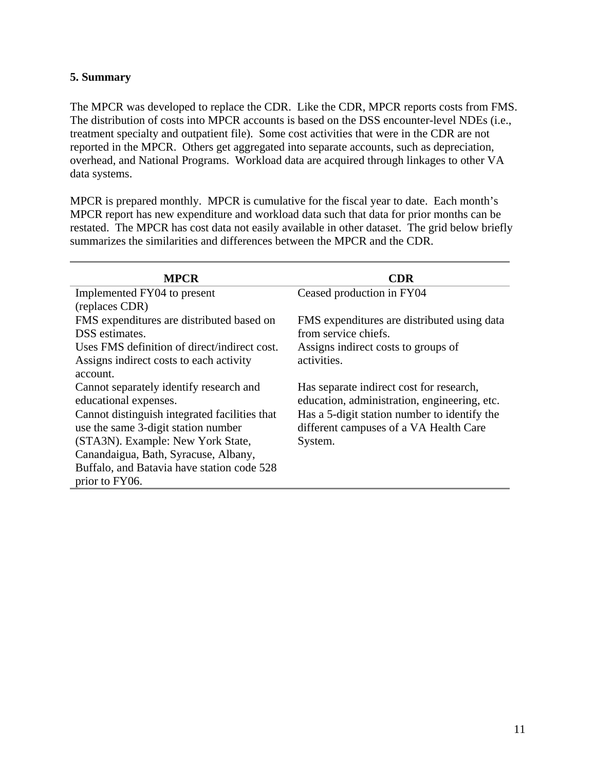### <span id="page-10-0"></span>**5. Summary**

The MPCR was developed to replace the CDR. Like the CDR, MPCR reports costs from FMS. The distribution of costs into MPCR accounts is based on the DSS encounter-level NDEs (i.e., treatment specialty and outpatient file). Some cost activities that were in the CDR are not reported in the MPCR. Others get aggregated into separate accounts, such as depreciation, overhead, and National Programs. Workload data are acquired through linkages to other VA data systems.

MPCR is prepared monthly. MPCR is cumulative for the fiscal year to date. Each month's MPCR report has new expenditure and workload data such that data for prior months can be restated. The MPCR has cost data not easily available in other dataset. The grid below briefly summarizes the similarities and differences between the MPCR and the CDR.

| <b>MPCR</b>                                   | <b>CDR</b>                                   |
|-----------------------------------------------|----------------------------------------------|
| Implemented FY04 to present                   | Ceased production in FY04                    |
| (replaces CDR)                                |                                              |
| FMS expenditures are distributed based on     | FMS expenditures are distributed using data  |
| DSS estimates.                                | from service chiefs.                         |
| Uses FMS definition of direct/indirect cost.  | Assigns indirect costs to groups of          |
| Assigns indirect costs to each activity       | activities.                                  |
| account.                                      |                                              |
| Cannot separately identify research and       | Has separate indirect cost for research,     |
| educational expenses.                         | education, administration, engineering, etc. |
| Cannot distinguish integrated facilities that | Has a 5-digit station number to identify the |
| use the same 3-digit station number           | different campuses of a VA Health Care       |
| (STA3N). Example: New York State,             | System.                                      |
| Canandaigua, Bath, Syracuse, Albany,          |                                              |
| Buffalo, and Batavia have station code 528    |                                              |
| prior to FY06.                                |                                              |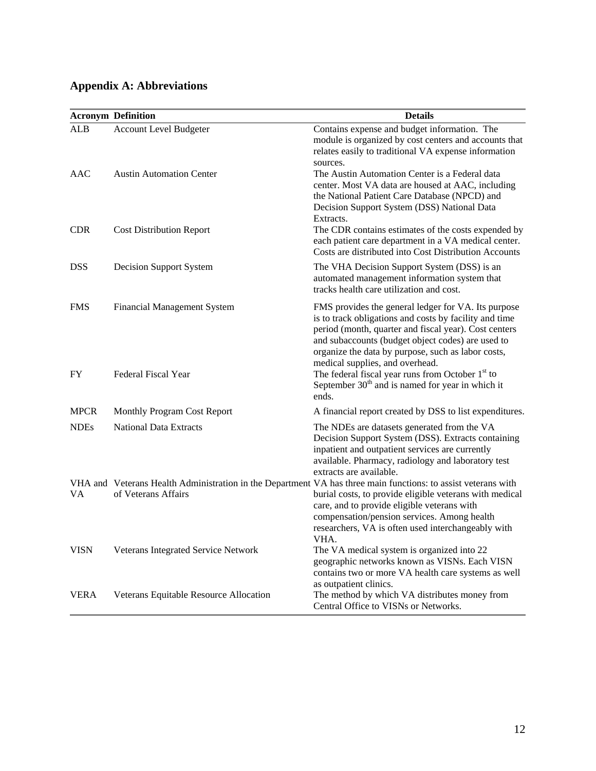# <span id="page-11-0"></span>**Appendix A: Abbreviations**

|             | <b>Acronym Definition</b>              | <b>Details</b>                                                                                                                                                                                                                                                                                                               |
|-------------|----------------------------------------|------------------------------------------------------------------------------------------------------------------------------------------------------------------------------------------------------------------------------------------------------------------------------------------------------------------------------|
| <b>ALB</b>  | <b>Account Level Budgeter</b>          | Contains expense and budget information. The<br>module is organized by cost centers and accounts that<br>relates easily to traditional VA expense information<br>sources.                                                                                                                                                    |
| AAC         | <b>Austin Automation Center</b>        | The Austin Automation Center is a Federal data<br>center. Most VA data are housed at AAC, including<br>the National Patient Care Database (NPCD) and<br>Decision Support System (DSS) National Data<br>Extracts.                                                                                                             |
| <b>CDR</b>  | <b>Cost Distribution Report</b>        | The CDR contains estimates of the costs expended by<br>each patient care department in a VA medical center.<br>Costs are distributed into Cost Distribution Accounts                                                                                                                                                         |
| <b>DSS</b>  | <b>Decision Support System</b>         | The VHA Decision Support System (DSS) is an<br>automated management information system that<br>tracks health care utilization and cost.                                                                                                                                                                                      |
| <b>FMS</b>  | <b>Financial Management System</b>     | FMS provides the general ledger for VA. Its purpose<br>is to track obligations and costs by facility and time<br>period (month, quarter and fiscal year). Cost centers<br>and subaccounts (budget object codes) are used to<br>organize the data by purpose, such as labor costs,<br>medical supplies, and overhead.         |
| FY          | Federal Fiscal Year                    | The federal fiscal year runs from October 1 <sup>st</sup> to<br>September 30 <sup>th</sup> and is named for year in which it<br>ends.                                                                                                                                                                                        |
| <b>MPCR</b> | Monthly Program Cost Report            | A financial report created by DSS to list expenditures.                                                                                                                                                                                                                                                                      |
| <b>NDEs</b> | <b>National Data Extracts</b>          | The NDEs are datasets generated from the VA<br>Decision Support System (DSS). Extracts containing<br>inpatient and outpatient services are currently<br>available. Pharmacy, radiology and laboratory test<br>extracts are available.                                                                                        |
| VА          | of Veterans Affairs                    | VHA and Veterans Health Administration in the Department VA has three main functions: to assist veterans with<br>burial costs, to provide eligible veterans with medical<br>care, and to provide eligible veterans with<br>compensation/pension services. Among health<br>researchers, VA is often used interchangeably with |
| <b>VISN</b> | Veterans Integrated Service Network    | VHA.<br>The VA medical system is organized into 22<br>geographic networks known as VISNs. Each VISN<br>contains two or more VA health care systems as well                                                                                                                                                                   |
| <b>VERA</b> | Veterans Equitable Resource Allocation | as outpatient clinics.<br>The method by which VA distributes money from<br>Central Office to VISNs or Networks.                                                                                                                                                                                                              |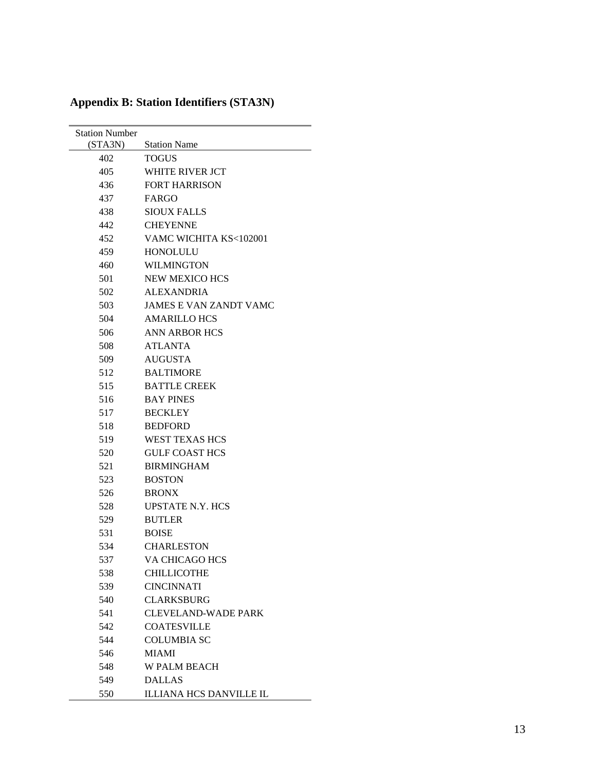| <b>Station Number</b><br>(STA3N) | <b>Station Name</b>           |
|----------------------------------|-------------------------------|
| 402                              | <b>TOGUS</b>                  |
| 405                              | WHITE RIVER JCT               |
| 436                              | <b>FORT HARRISON</b>          |
| 437                              | FARGO                         |
| 438                              | <b>SIOUX FALLS</b>            |
| 442                              | <b>CHEYENNE</b>               |
| 452                              | VAMC WICHITA KS<102001        |
| 459                              | <b>HONOLULU</b>               |
| 460                              | <b>WILMINGTON</b>             |
| 501                              | <b>NEW MEXICO HCS</b>         |
| 502                              | <b>ALEXANDRIA</b>             |
| 503                              | <b>JAMES E VAN ZANDT VAMC</b> |
| 504                              | <b>AMARILLO HCS</b>           |
| 506                              | <b>ANN ARBOR HCS</b>          |
| 508                              | <b>ATLANTA</b>                |
| 509                              | <b>AUGUSTA</b>                |
| 512                              | <b>BALTIMORE</b>              |
| 515                              | <b>BATTLE CREEK</b>           |
| 516                              | <b>BAY PINES</b>              |
| 517                              | <b>BECKLEY</b>                |
| 518                              | <b>BEDFORD</b>                |
| 519                              | <b>WEST TEXAS HCS</b>         |
| 520                              | <b>GULF COAST HCS</b>         |
| 521                              | <b>BIRMINGHAM</b>             |
| 523                              | <b>BOSTON</b>                 |
| 526                              | <b>BRONX</b>                  |
| 528                              | <b>UPSTATE N.Y. HCS</b>       |
| 529                              | <b>BUTLER</b>                 |
| 531                              | <b>BOISE</b>                  |
| 534                              | <b>CHARLESTON</b>             |
| 537                              | VA CHICAGO HCS                |
| 538                              | <b>CHILLICOTHE</b>            |
| 539                              | <b>CINCINNATI</b>             |
| 540                              | <b>CLARKSBURG</b>             |
| 541                              | <b>CLEVELAND-WADE PARK</b>    |
| 542                              | <b>COATESVILLE</b>            |
| 544                              | <b>COLUMBIA SC</b>            |
| 546                              | <b>MIAMI</b>                  |
| 548                              | <b>W PALM BEACH</b>           |
| 549                              | <b>DALLAS</b>                 |
| 550                              | ILLIANA HCS DANVILLE IL       |

# <span id="page-12-0"></span>**Appendix B: Station Identifiers (STA3N)**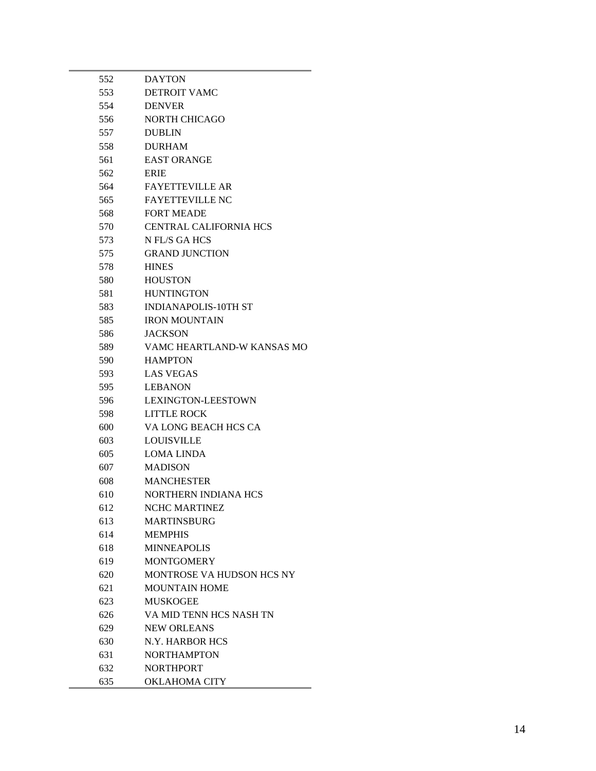| 552 | <b>DAYTON</b>                 |
|-----|-------------------------------|
| 553 | <b>DETROIT VAMC</b>           |
| 554 | <b>DENVER</b>                 |
| 556 | NORTH CHICAGO                 |
| 557 | <b>DUBLIN</b>                 |
| 558 | <b>DURHAM</b>                 |
| 561 | <b>EAST ORANGE</b>            |
| 562 | <b>ERIE</b>                   |
| 564 | <b>FAYETTEVILLE AR</b>        |
| 565 | <b>FAYETTEVILLE NC</b>        |
| 568 | <b>FORT MEADE</b>             |
| 570 | <b>CENTRAL CALIFORNIA HCS</b> |
| 573 | N FL/S GA HCS                 |
| 575 | <b>GRAND JUNCTION</b>         |
| 578 | <b>HINES</b>                  |
| 580 | <b>HOUSTON</b>                |
| 581 | <b>HUNTINGTON</b>             |
| 583 | <b>INDIANAPOLIS-10TH ST</b>   |
| 585 | <b>IRON MOUNTAIN</b>          |
| 586 | <b>JACKSON</b>                |
| 589 | VAMC HEARTLAND-W KANSAS MO    |
| 590 | <b>HAMPTON</b>                |
| 593 | <b>LAS VEGAS</b>              |
| 595 | <b>LEBANON</b>                |
| 596 | <b>LEXINGTON-LEESTOWN</b>     |
| 598 | <b>LITTLE ROCK</b>            |
| 600 | VA LONG BEACH HCS CA          |
| 603 | <b>LOUISVILLE</b>             |
| 605 | <b>LOMA LINDA</b>             |
| 607 | <b>MADISON</b>                |
| 608 | <b>MANCHESTER</b>             |
| 610 | NORTHERN INDIANA HCS          |
| 612 | NCHC MARTINEZ                 |
| 613 | <b>MARTINSBURG</b>            |
| 614 | <b>MEMPHIS</b>                |
| 618 | <b>MINNEAPOLIS</b>            |
| 619 | <b>MONTGOMERY</b>             |
| 620 | MONTROSE VA HUDSON HCS NY     |
| 621 | <b>MOUNTAIN HOME</b>          |
| 623 | <b>MUSKOGEE</b>               |
| 626 | VA MID TENN HCS NASH TN       |
| 629 | <b>NEW ORLEANS</b>            |
| 630 | N.Y. HARBOR HCS               |
| 631 | <b>NORTHAMPTON</b>            |
| 632 | <b>NORTHPORT</b>              |
| 635 | <b>OKLAHOMA CITY</b>          |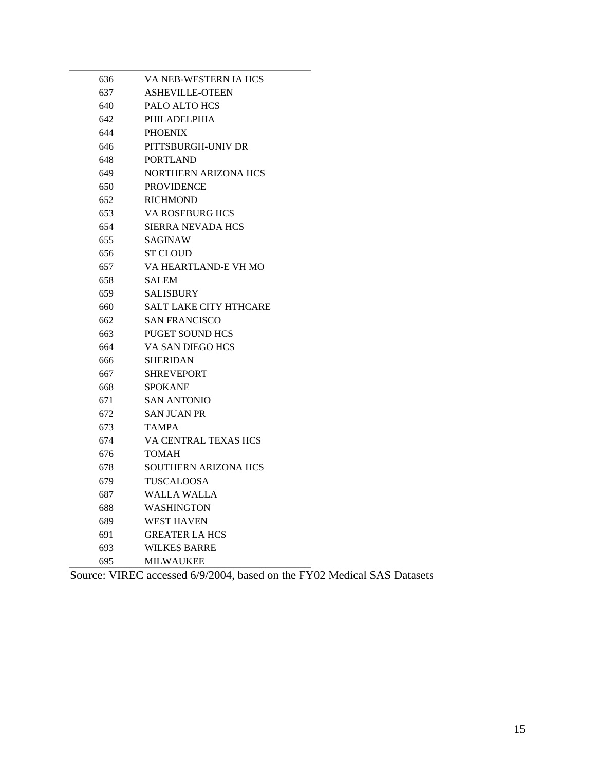| 636 | VA NEB-WESTERN IA HCS       |
|-----|-----------------------------|
| 637 | <b>ASHEVILLE-OTEEN</b>      |
| 640 | PALO ALTO HCS               |
| 642 | PHILADELPHIA                |
| 644 | <b>PHOENIX</b>              |
| 646 | PITTSBURGH-UNIV DR          |
| 648 | <b>PORTLAND</b>             |
| 649 | <b>NORTHERN ARIZONA HCS</b> |
| 650 | <b>PROVIDENCE</b>           |
| 652 | <b>RICHMOND</b>             |
| 653 | VA ROSEBURG HCS             |
| 654 | <b>SIERRA NEVADA HCS</b>    |
| 655 | <b>SAGINAW</b>              |
| 656 | <b>ST CLOUD</b>             |
| 657 | VA HEARTLAND-E VH MO        |
| 658 | <b>SALEM</b>                |
| 659 | <b>SALISBURY</b>            |
| 660 | SALT LAKE CITY HTHCARE      |
| 662 | <b>SAN FRANCISCO</b>        |
| 663 | <b>PUGET SOUND HCS</b>      |
| 664 | VA SAN DIEGO HCS            |
| 666 | <b>SHERIDAN</b>             |
| 667 | <b>SHREVEPORT</b>           |
| 668 | <b>SPOKANE</b>              |
| 671 | <b>SAN ANTONIO</b>          |
| 672 | <b>SAN JUAN PR</b>          |
| 673 | <b>TAMPA</b>                |
| 674 | VA CENTRAL TEXAS HCS        |
| 676 | <b>TOMAH</b>                |
| 678 | <b>SOUTHERN ARIZONA HCS</b> |
| 679 | <b>TUSCALOOSA</b>           |
| 687 | <b>WALLA WALLA</b>          |
| 688 | <b>WASHINGTON</b>           |
| 689 | <b>WEST HAVEN</b>           |
| 691 | <b>GREATER LA HCS</b>       |
| 693 | <b>WILKES BARRE</b>         |
| 695 | <b>MILWAUKEE</b>            |

Source: VIREC accessed 6/9/2004, based on the FY02 Medical SAS Datasets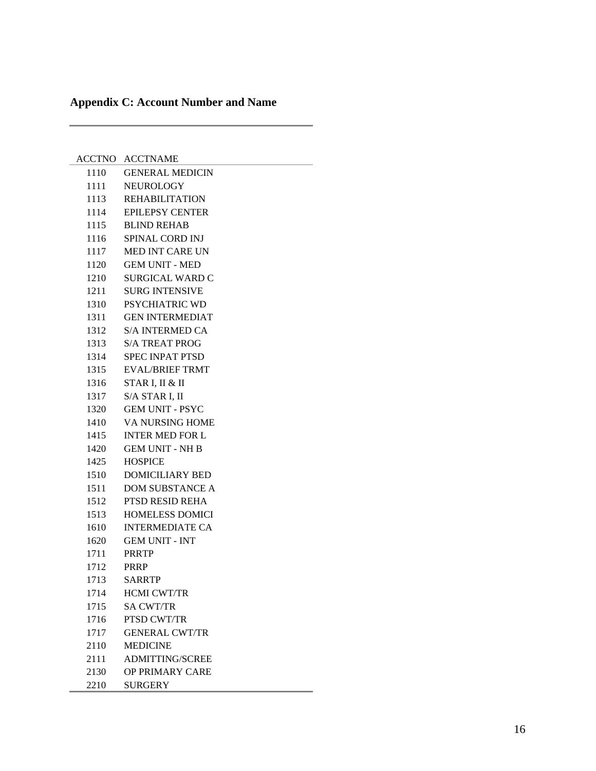# <span id="page-15-0"></span>**Appendix C: Account Number and Name**

J.

÷.

|      | <b>ACCTNO ACCTNAME</b> |
|------|------------------------|
| 1110 | <b>GENERAL MEDICIN</b> |
| 1111 | <b>NEUROLOGY</b>       |
| 1113 | <b>REHABILITATION</b>  |
| 1114 | <b>EPILEPSY CENTER</b> |
| 1115 | <b>BLIND REHAB</b>     |
| 1116 | SPINAL CORD INJ        |
| 1117 | <b>MED INT CARE UN</b> |
| 1120 | <b>GEM UNIT - MED</b>  |
| 1210 | <b>SURGICAL WARD C</b> |
| 1211 | <b>SURG INTENSIVE</b>  |
| 1310 | PSYCHIATRIC WD         |
| 1311 | <b>GEN INTERMEDIAT</b> |
| 1312 | <b>S/A INTERMED CA</b> |
| 1313 | <b>S/A TREAT PROG</b>  |
| 1314 | <b>SPEC INPAT PTSD</b> |
| 1315 | <b>EVAL/BRIEF TRMT</b> |
| 1316 | STAR I, II & II        |
| 1317 | S/A STAR I, II         |
| 1320 | <b>GEM UNIT - PSYC</b> |
| 1410 | <b>VA NURSING HOME</b> |
| 1415 | <b>INTER MED FOR L</b> |
| 1420 | <b>GEM UNIT - NH B</b> |
| 1425 | <b>HOSPICE</b>         |
| 1510 | <b>DOMICILIARY BED</b> |
| 1511 | <b>DOM SUBSTANCE A</b> |
| 1512 | PTSD RESID REHA        |
| 1513 | <b>HOMELESS DOMICI</b> |
| 1610 | <b>INTERMEDIATE CA</b> |
| 1620 | <b>GEM UNIT - INT</b>  |
| 1711 | <b>PRRTP</b>           |
| 1712 | <b>PRRP</b>            |
| 1713 | <b>SARRTP</b>          |
| 1714 | <b>HCMI CWT/TR</b>     |
| 1715 | <b>SA CWT/TR</b>       |
| 1716 | PTSD CWT/TR            |
| 1717 | <b>GENERAL CWT/TR</b>  |
| 2110 | <b>MEDICINE</b>        |
| 2111 | <b>ADMITTING/SCREE</b> |
| 2130 | OP PRIMARY CARE        |
| 2210 | <b>SURGERY</b>         |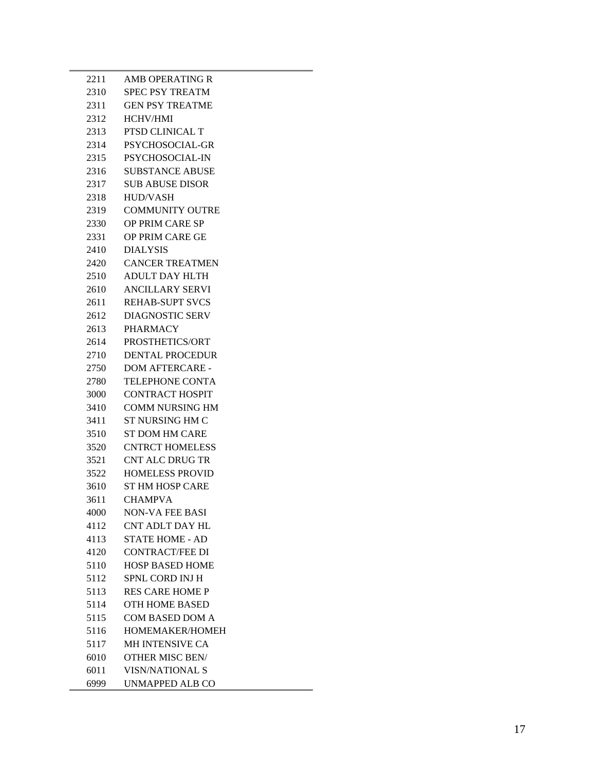| 2211 | <b>AMB OPERATING R</b> |
|------|------------------------|
| 2310 | <b>SPEC PSY TREATM</b> |
| 2311 | <b>GEN PSY TREATME</b> |
| 2312 | <b>HCHV/HMI</b>        |
| 2313 | PTSD CLINICAL T        |
| 2314 | PSYCHOSOCIAL-GR        |
| 2315 | PSYCHOSOCIAL-IN        |
| 2316 | <b>SUBSTANCE ABUSE</b> |
| 2317 | <b>SUB ABUSE DISOR</b> |
| 2318 | HUD/VASH               |
| 2319 | <b>COMMUNITY OUTRE</b> |
| 2330 | OP PRIM CARE SP        |
| 2331 | OP PRIM CARE GE        |
| 2410 | <b>DIALYSIS</b>        |
| 2420 | <b>CANCER TREATMEN</b> |
| 2510 | <b>ADULT DAY HLTH</b>  |
| 2610 | <b>ANCILLARY SERVI</b> |
| 2611 | <b>REHAB-SUPT SVCS</b> |
| 2612 | <b>DIAGNOSTIC SERV</b> |
| 2613 | <b>PHARMACY</b>        |
| 2614 | PROSTHETICS/ORT        |
| 2710 | DENTAL PROCEDUR        |
| 2750 | DOM AFTERCARE -        |
| 2780 | <b>TELEPHONE CONTA</b> |
| 3000 | <b>CONTRACT HOSPIT</b> |
| 3410 | <b>COMM NURSING HM</b> |
| 3411 | ST NURSING HM C        |
| 3510 | <b>ST DOM HM CARE</b>  |
| 3520 | <b>CNTRCT HOMELESS</b> |
| 3521 | <b>CNT ALC DRUG TR</b> |
| 3522 | <b>HOMELESS PROVID</b> |
| 3610 | <b>ST HM HOSP CARE</b> |
| 3611 | <b>CHAMPVA</b>         |
| 4000 | <b>NON-VA FEE BASI</b> |
| 4112 | <b>CNT ADLT DAY HL</b> |
| 4113 | <b>STATE HOME - AD</b> |
| 4120 | <b>CONTRACT/FEE DI</b> |
| 5110 | <b>HOSP BASED HOME</b> |
| 5112 | SPNL CORD INJ H        |
| 5113 | <b>RES CARE HOME P</b> |
| 5114 | <b>OTH HOME BASED</b>  |
| 5115 | <b>COM BASED DOM A</b> |
| 5116 | HOMEMAKER/HOMEH        |
| 5117 | MH INTENSIVE CA        |
| 6010 | <b>OTHER MISC BEN/</b> |
| 6011 | <b>VISN/NATIONAL S</b> |
| 6999 | UNMAPPED ALB CO        |